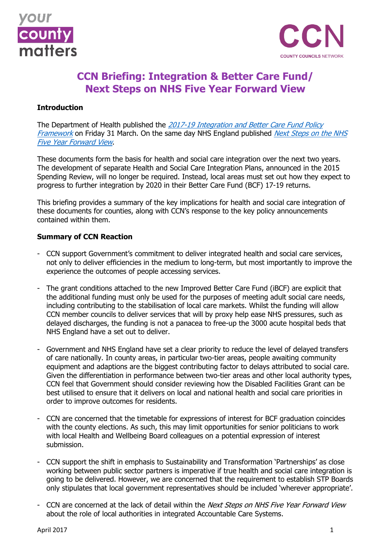



# **CCN Briefing: Integration & Better Care Fund/ Next Steps on NHS Five Year Forward View**

# **Introduction**

The Department of Health published the 2017-19 Integration and Better Care Fund Policy [Framework](https://www.gov.uk/government/uploads/system/uploads/attachment_data/file/605164/Integration_and_BCF_policy_framework_2017-19.pdf) on Friday 31 March. On the same day NHS England published Next Steps on the NHS [Five Year Forward View](https://www.england.nhs.uk/wp-content/uploads/2017/03/NEXT-STEPS-ON-THE-NHS-FIVE-YEAR-FORWARD-VIEW.pdf).

These documents form the basis for health and social care integration over the next two years. The development of separate Health and Social Care Integration Plans, announced in the 2015 Spending Review, will no longer be required. Instead, local areas must set out how they expect to progress to further integration by 2020 in their Better Care Fund (BCF) 17-19 returns.

This briefing provides a summary of the key implications for health and social care integration of these documents for counties, along with CCN's response to the key policy announcements contained within them.

# **Summary of CCN Reaction**

- CCN support Government's commitment to deliver integrated health and social care services, not only to deliver efficiencies in the medium to long-term, but most importantly to improve the experience the outcomes of people accessing services.
- The grant conditions attached to the new Improved Better Care Fund (iBCF) are explicit that the additional funding must only be used for the purposes of meeting adult social care needs, including contributing to the stabilisation of local care markets. Whilst the funding will allow CCN member councils to deliver services that will by proxy help ease NHS pressures, such as delayed discharges, the funding is not a panacea to free-up the 3000 acute hospital beds that NHS England have a set out to deliver.
- Government and NHS England have set a clear priority to reduce the level of delayed transfers of care nationally. In county areas, in particular two-tier areas, people awaiting community equipment and adaptions are the biggest contributing factor to delays attributed to social care. Given the differentiation in performance between two-tier areas and other local authority types, CCN feel that Government should consider reviewing how the Disabled Facilities Grant can be best utilised to ensure that it delivers on local and national health and social care priorities in order to improve outcomes for residents.
- CCN are concerned that the timetable for expressions of interest for BCF graduation coincides with the county elections. As such, this may limit opportunities for senior politicians to work with local Health and Wellbeing Board colleagues on a potential expression of interest submission.
- CCN support the shift in emphasis to Sustainability and Transformation 'Partnerships' as close working between public sector partners is imperative if true health and social care integration is going to be delivered. However, we are concerned that the requirement to establish STP Boards only stipulates that local government representatives should be included 'wherever appropriate'.
- CCN are concerned at the lack of detail within the Next Steps on NHS Five Year Forward View about the role of local authorities in integrated Accountable Care Systems.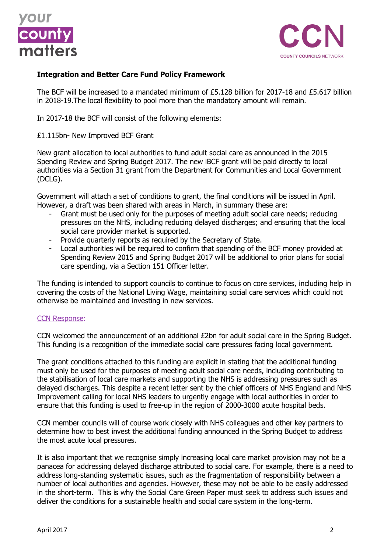



# **Integration and Better Care Fund Policy Framework**

The BCF will be increased to a mandated minimum of £5.128 billion for 2017-18 and £5.617 billion in 2018-19.The local flexibility to pool more than the mandatory amount will remain.

In 2017-18 the BCF will consist of the following elements:

#### £1.115bn- New Improved BCF Grant

New grant allocation to local authorities to fund adult social care as announced in the 2015 Spending Review and Spring Budget 2017. The new iBCF grant will be paid directly to local authorities via a Section 31 grant from the Department for Communities and Local Government (DCLG).

Government will attach a set of conditions to grant, the final conditions will be issued in April. However, a draft was been shared with areas in March, in summary these are:

- Grant must be used only for the purposes of meeting adult social care needs; reducing pressures on the NHS, including reducing delayed discharges; and ensuring that the local social care provider market is supported.
- Provide quarterly reports as required by the Secretary of State.
- Local authorities will be required to confirm that spending of the BCF money provided at Spending Review 2015 and Spring Budget 2017 will be additional to prior plans for social care spending, via a Section 151 Officer letter.

The funding is intended to support councils to continue to focus on core services, including help in covering the costs of the National Living Wage, maintaining social care services which could not otherwise be maintained and investing in new services.

#### CCN Response:

CCN welcomed the announcement of an additional £2bn for adult social care in the Spring Budget. This funding is a recognition of the immediate social care pressures facing local government.

The grant conditions attached to this funding are explicit in stating that the additional funding must only be used for the purposes of meeting adult social care needs, including contributing to the stabilisation of local care markets and supporting the NHS is addressing pressures such as delayed discharges. This despite a recent letter sent by the chief officers of NHS England and NHS Improvement calling for local NHS leaders to urgently engage with local authorities in order to ensure that this funding is used to free-up in the region of 2000-3000 acute hospital beds.

CCN member councils will of course work closely with NHS colleagues and other key partners to determine how to best invest the additional funding announced in the Spring Budget to address the most acute local pressures.

It is also important that we recognise simply increasing local care market provision may not be a panacea for addressing delayed discharge attributed to social care. For example, there is a need to address long-standing systematic issues, such as the fragmentation of responsibility between a number of local authorities and agencies. However, these may not be able to be easily addressed in the short-term. This is why the Social Care Green Paper must seek to address such issues and deliver the conditions for a sustainable health and social care system in the long-term.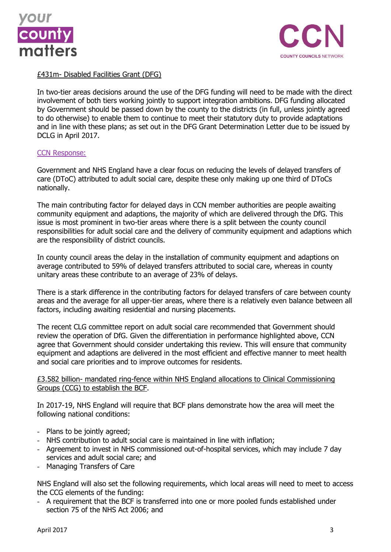



# £431m- Disabled Facilities Grant (DFG)

In two-tier areas decisions around the use of the DFG funding will need to be made with the direct involvement of both tiers working jointly to support integration ambitions. DFG funding allocated by Government should be passed down by the county to the districts (in full, unless jointly agreed to do otherwise) to enable them to continue to meet their statutory duty to provide adaptations and in line with these plans; as set out in the DFG Grant Determination Letter due to be issued by DCLG in April 2017.

#### CCN Response:

Government and NHS England have a clear focus on reducing the levels of delayed transfers of care (DToC) attributed to adult social care, despite these only making up one third of DToCs nationally.

The main contributing factor for delayed days in CCN member authorities are people awaiting community equipment and adaptions, the majority of which are delivered through the DfG. This issue is most prominent in two-tier areas where there is a split between the county council responsibilities for adult social care and the delivery of community equipment and adaptions which are the responsibility of district councils.

In county council areas the delay in the installation of community equipment and adaptions on average contributed to 59% of delayed transfers attributed to social care, whereas in county unitary areas these contribute to an average of 23% of delays.

There is a stark difference in the contributing factors for delayed transfers of care between county areas and the average for all upper-tier areas, where there is a relatively even balance between all factors, including awaiting residential and nursing placements.

The recent CLG committee report on adult social care recommended that Government should review the operation of DfG. Given the differentiation in performance highlighted above, CCN agree that Government should consider undertaking this review. This will ensure that community equipment and adaptions are delivered in the most efficient and effective manner to meet health and social care priorities and to improve outcomes for residents.

# £3.582 billion- mandated ring-fence within NHS England allocations to Clinical Commissioning Groups (CCG) to establish the BCF.

In 2017-19, NHS England will require that BCF plans demonstrate how the area will meet the following national conditions:

- Plans to be jointly agreed;
- NHS contribution to adult social care is maintained in line with inflation;
- Agreement to invest in NHS commissioned out-of-hospital services, which may include 7 day services and adult social care; and
- Managing Transfers of Care

NHS England will also set the following requirements, which local areas will need to meet to access the CCG elements of the funding:

- A requirement that the BCF is transferred into one or more pooled funds established under section 75 of the NHS Act 2006; and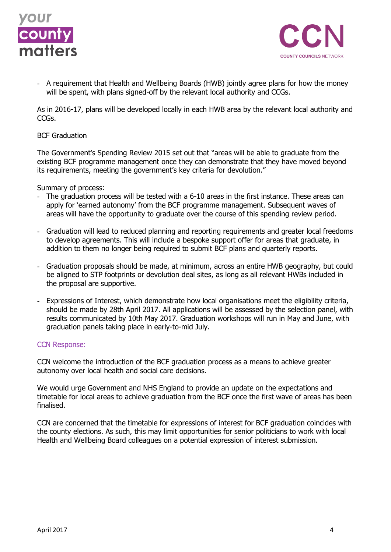



- A requirement that Health and Wellbeing Boards (HWB) jointly agree plans for how the money will be spent, with plans signed-off by the relevant local authority and CCGs.

As in 2016-17, plans will be developed locally in each HWB area by the relevant local authority and CCGs.

#### BCF Graduation

The Government's Spending Review 2015 set out that "areas will be able to graduate from the existing BCF programme management once they can demonstrate that they have moved beyond its requirements, meeting the government's key criteria for devolution."

Summary of process:

- The graduation process will be tested with a 6-10 areas in the first instance. These areas can apply for 'earned autonomy' from the BCF programme management. Subsequent waves of areas will have the opportunity to graduate over the course of this spending review period.
- Graduation will lead to reduced planning and reporting requirements and greater local freedoms to develop agreements. This will include a bespoke support offer for areas that graduate, in addition to them no longer being required to submit BCF plans and quarterly reports.
- Graduation proposals should be made, at minimum, across an entire HWB geography, but could be aligned to STP footprints or devolution deal sites, as long as all relevant HWBs included in the proposal are supportive.
- Expressions of Interest, which demonstrate how local organisations meet the eligibility criteria, should be made by 28th April 2017. All applications will be assessed by the selection panel, with results communicated by 10th May 2017. Graduation workshops will run in May and June, with graduation panels taking place in early-to-mid July.

# CCN Response:

CCN welcome the introduction of the BCF graduation process as a means to achieve greater autonomy over local health and social care decisions.

We would urge Government and NHS England to provide an update on the expectations and timetable for local areas to achieve graduation from the BCF once the first wave of areas has been finalised.

CCN are concerned that the timetable for expressions of interest for BCF graduation coincides with the county elections. As such, this may limit opportunities for senior politicians to work with local Health and Wellbeing Board colleagues on a potential expression of interest submission.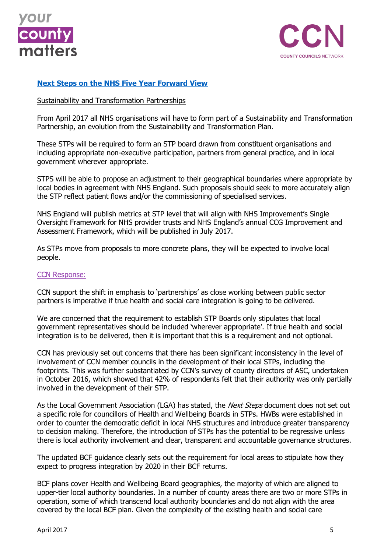



# **[Next Steps on the NHS Five Year Forward View](https://www.england.nhs.uk/wp-content/uploads/2017/03/NEXT-STEPS-ON-THE-NHS-FIVE-YEAR-FORWARD-VIEW.pdf)**

### Sustainability and Transformation Partnerships

From April 2017 all NHS organisations will have to form part of a Sustainability and Transformation Partnership, an evolution from the Sustainability and Transformation Plan.

These STPs will be required to form an STP board drawn from constituent organisations and including appropriate non-executive participation, partners from general practice, and in local government wherever appropriate.

STPS will be able to propose an adjustment to their geographical boundaries where appropriate by local bodies in agreement with NHS England. Such proposals should seek to more accurately align the STP reflect patient flows and/or the commissioning of specialised services.

NHS England will publish metrics at STP level that will align with NHS Improvement's Single Oversight Framework for NHS provider trusts and NHS England's annual CCG Improvement and Assessment Framework, which will be published in July 2017.

As STPs move from proposals to more concrete plans, they will be expected to involve local people.

#### CCN Response:

CCN support the shift in emphasis to 'partnerships' as close working between public sector partners is imperative if true health and social care integration is going to be delivered.

We are concerned that the requirement to establish STP Boards only stipulates that local government representatives should be included 'wherever appropriate'. If true health and social integration is to be delivered, then it is important that this is a requirement and not optional.

CCN has previously set out concerns that there has been significant inconsistency in the level of involvement of CCN member councils in the development of their local STPs, including the footprints. This was further substantiated by CCN's survey of county directors of ASC, undertaken in October 2016, which showed that 42% of respondents felt that their authority was only partially involved in the development of their STP.

As the Local Government Association (LGA) has stated, the *Next Steps* document does not set out a specific role for councillors of Health and Wellbeing Boards in STPs. HWBs were established in order to counter the democratic deficit in local NHS structures and introduce greater transparency to decision making. Therefore, the introduction of STPs has the potential to be regressive unless there is local authority involvement and clear, transparent and accountable governance structures.

The updated BCF guidance clearly sets out the requirement for local areas to stipulate how they expect to progress integration by 2020 in their BCF returns.

BCF plans cover Health and Wellbeing Board geographies, the majority of which are aligned to upper-tier local authority boundaries. In a number of county areas there are two or more STPs in operation, some of which transcend local authority boundaries and do not align with the area covered by the local BCF plan. Given the complexity of the existing health and social care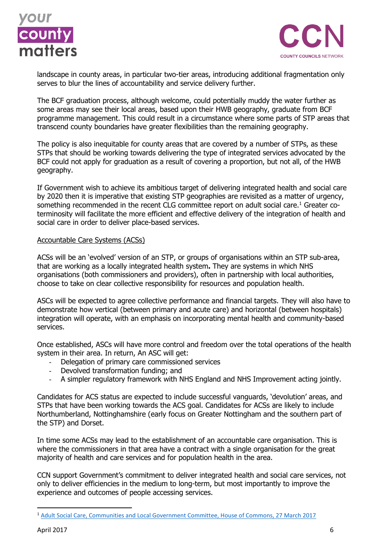



landscape in county areas, in particular two-tier areas, introducing additional fragmentation only serves to blur the lines of accountability and service delivery further.

The BCF graduation process, although welcome, could potentially muddy the water further as some areas may see their local areas, based upon their HWB geography, graduate from BCF programme management. This could result in a circumstance where some parts of STP areas that transcend county boundaries have greater flexibilities than the remaining geography.

The policy is also inequitable for county areas that are covered by a number of STPs, as these STPs that should be working towards delivering the type of integrated services advocated by the BCF could not apply for graduation as a result of covering a proportion, but not all, of the HWB geography.

If Government wish to achieve its ambitious target of delivering integrated health and social care by 2020 then it is imperative that existing STP geographies are revisited as a matter of urgency, something recommended in the recent CLG committee report on adult social care.<sup>1</sup> Greater coterminosity will facilitate the more efficient and effective delivery of the integration of health and social care in order to deliver place-based services.

# Accountable Care Systems (ACSs)

ACSs will be an 'evolved' version of an STP, or groups of organisations within an STP sub-area, that are working as a locally integrated health system**.** They are systems in which NHS organisations (both commissioners and providers), often in partnership with local authorities, choose to take on clear collective responsibility for resources and population health.

ASCs will be expected to agree collective performance and financial targets. They will also have to demonstrate how vertical (between primary and acute care) and horizontal (between hospitals) integration will operate, with an emphasis on incorporating mental health and community-based services.

Once established, ASCs will have more control and freedom over the total operations of the health system in their area. In return, An ASC will get:

- Delegation of primary care commissioned services
- Devolved transformation funding; and
- A simpler regulatory framework with NHS England and NHS Improvement acting jointly.

Candidates for ACS status are expected to include successful vanguards, 'devolution' areas, and STPs that have been working towards the ACS goal. Candidates for ACSs are likely to include Northumberland, Nottinghamshire (early focus on Greater Nottingham and the southern part of the STP) and Dorset.

In time some ACSs may lead to the establishment of an accountable care organisation. This is where the commissioners in that area have a contract with a single organisation for the great majority of health and care services and for population health in the area.

CCN support Government's commitment to deliver integrated health and social care services, not only to deliver efficiencies in the medium to long-term, but most importantly to improve the experience and outcomes of people accessing services.

1

<sup>1</sup> [Adult Social Care, Communities and Local Government Committee, House of Commons, 27 March 2017](https://www.publications.parliament.uk/pa/cm201617/cmselect/cmcomloc/1103/1103.pdf)